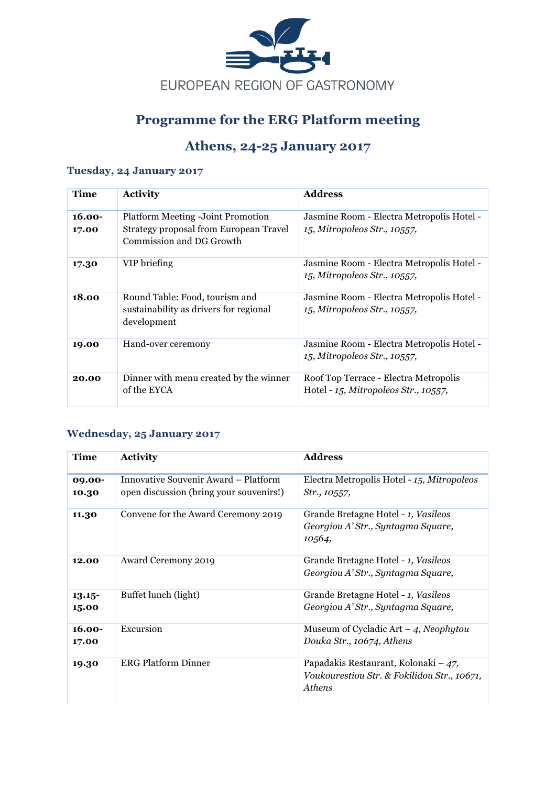

## **Programme for the ERG Platform meeting**

## **Athens, 24-25 January 2017**

#### **Tuesday, 24 January 2017**

| Time               | <b>Activity</b>                                                                         | <b>Address</b>                                                                |
|--------------------|-----------------------------------------------------------------------------------------|-------------------------------------------------------------------------------|
| $16.00 -$<br>17.00 | <b>Platform Meeting - Joint Promotion</b><br>Strategy proposal from European Travel     | Jasmine Room - Electra Metropolis Hotel -<br>15, Mitropoleos Str., 10557,     |
|                    | Commission and DG Growth                                                                |                                                                               |
| 17.30              | VIP briefing                                                                            | Jasmine Room - Electra Metropolis Hotel -<br>15, Mitropoleos Str., 10557,     |
| 18.00              | Round Table: Food, tourism and<br>sustainability as drivers for regional<br>development | Jasmine Room - Electra Metropolis Hotel -<br>15, Mitropoleos Str., 10557,     |
| 19.00              | Hand-over ceremony                                                                      | Jasmine Room - Electra Metropolis Hotel -<br>15, Mitropoleos Str., 10557,     |
| 20.00              | Dinner with menu created by the winner<br>of the EYCA                                   | Roof Top Terrace - Electra Metropolis<br>Hotel - 15, Mitropoleos Str., 10557, |

#### **Wednesday, 25 January 2017**

| Time               | <b>Activity</b>                                                                 | <b>Address</b>                                                                                          |
|--------------------|---------------------------------------------------------------------------------|---------------------------------------------------------------------------------------------------------|
| 09.00-<br>10.30    | Innovative Souvenir Award – Platform<br>open discussion (bring your souvenirs!) | Electra Metropolis Hotel - 15, Mitropoleos<br>Str., 10557,                                              |
| 11.30              | Convene for the Award Ceremony 2019                                             | Grande Bretagne Hotel - 1, Vasileos<br>Georgiou A' Str., Syntagma Square,<br>10,564,                    |
| 12.00              | <b>Award Ceremony 2019</b>                                                      | Grande Bretagne Hotel - 1, Vasileos<br>Georgiou A' Str., Syntagma Square,                               |
| $13.15 -$<br>15.00 | Buffet lunch (light)                                                            | Grande Bretagne Hotel - 1, Vasileos<br>Georgiou A' Str., Syntagma Square,                               |
| $16.00 -$<br>17.00 | Excursion                                                                       | Museum of Cycladic Art $-$ 4, Neophytou<br>Douka Str., 10674, Athens                                    |
| 19.30              | <b>ERG Platform Dinner</b>                                                      | Papadakis Restaurant, Kolonaki – $47$ ,<br>Voukourestiou Str. & Fokilidou Str., 10671,<br><b>Athens</b> |